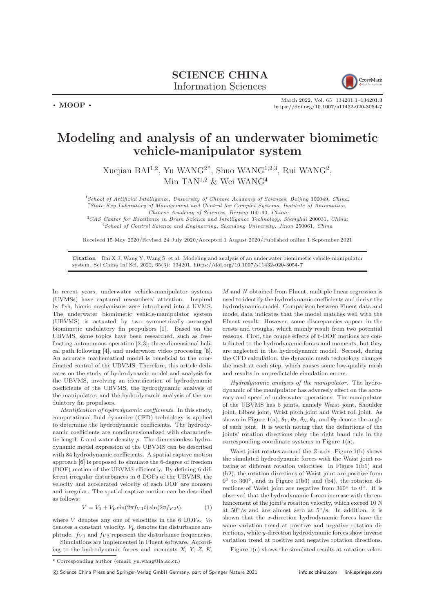

March 2022, Vol. 65 134201:1–134201[:3](#page-2-0) <https://doi.org/10.1007/s11432-020-3054-7>

## Modeling and analysis of an underwater biomimetic vehicle-manipulator system

Xuejian BAI<sup>1,2</sup>, Yu WANG<sup>2\*</sup>, Shuo WANG<sup>1,2,3</sup>, Rui WANG<sup>2</sup>, Min TAN<sup>1,2</sup> & Wei WANG<sup>4</sup>

<sup>1</sup>School of Artificial Intelligence, University of Chinese Academy of Sciences, Beijing 100049, China; <sup>2</sup>State Key Laboratory of Management and Control for Complex Systems, Institute of Automation, Chinese Academy of Sciences, Beijing 100190, China;

<sup>3</sup>CAS Center for Excellence in Brain Science and Intelligence Technology, Shanghai 200031, China; <sup>4</sup>School of Control Science and Engineering, Shandong University, Jinan 250061, China

Received 15 May 2020/Revised 24 July 2020/Accepted 1 August 2020/Published online 1 September 2021

Citation Bai X J, Wang Y, Wang S, et al. Modeling and analysis of an underwater biomimetic vehicle-manipulator system. Sci China Inf Sci, 2022, 65(3): 134201, <https://doi.org/10.1007/s11432-020-3054-7>

In recent years, underwater vehicle-manipulator systems (UVMSs) have captured researchers' attention. Inspired by fish, bionic mechanisms were introduced into a UVMS. The underwater biomimetic vehicle-manipulator system (UBVMS) is actuated by two symmetrically arranged biomimetic undulatory fin propulsors [\[1\]](#page-2-1). Based on the UBVMS, some topics have been researched, such as freefloating autonomous operation [\[2,](#page-2-2)[3\]](#page-2-3), three-dimensional helical path following [\[4\]](#page-2-4), and underwater video processing [\[5\]](#page-2-5). An accurate mathematical model is beneficial to the coordinated control of the UBVMS. Therefore, this article dedicates on the study of hydrodynamic model and analysis for the UBVMS, involving an identification of hydrodynamic coefficients of the UBVMS, the hydrodynamic analysis of the manipulator, and the hydrodynamic analysis of the undulatory fin propulsors.

 $\cdot$  MOOP  $\cdot$ 

Identification of hydrodynamic coefficients. In this study, computational fluid dynamics (CFD) technology is applied to determine the hydrodynamic coefficients. The hydrodynamic coefficients are nondimensionalized with characteristic length  $L$  and water density  $\rho$ . The dimensionless hydrodynamic model expression of the UBVMS can be described with 84 hydrodynamic coefficients. A spatial captive motion approach [\[6\]](#page-2-6) is proposed to simulate the 6-degree of freedom (DOF) motion of the UBVMS efficiently. By defining 6 different irregular disturbances in 6 DOFs of the UBVMS, the velocity and accelerated velocity of each DOF are nonzero and irregular. The spatial captive motion can be described as follows:

$$
V = V_0 + V_p \sin(2\pi f_{V1} t) \sin(2\pi f_{V2} t),
$$
 (1)

where  $V$  denotes any one of velocities in the 6 DOFs.  $V_0$ denotes a constant velocity.  $V<sub>p</sub>$  denotes the disturbance amplitude.  $f_{V1}$  and  $f_{V2}$  represent the disturbance frequencies.

Simulations are implemented in Fluent software. According to the hydrodynamic forces and moments X, Y, Z, K, M and N obtained from Fluent, multiple linear regression is used to identify the hydrodynamic coefficients and derive the hydrodynamic model. Comparison between Fluent data and model data indicates that the model matches well with the Fluent result. However, some discrepancies appear in the crests and troughs, which mainly result from two potential reasons. First, the couple effects of 6-DOF motions are contributed to the hydrodynamic forces and moments, but they are neglected in the hydrodynamic model. Second, during the CFD calculation, the dynamic mesh technology changes the mesh at each step, which causes some low-quality mesh and results in unpredictable simulation errors.

Hydrodynamic analysis of the manipulator. The hydrodynamic of the manipulator has adversely effect on the accuracy and speed of underwater operations. The manipulator of the UBVMS has 5 joints, namely Waist joint, Shoulder joint, Elbow joint, Wrist pitch joint and Wrist roll joint. As shown in Figure [1\(](#page-1-0)a),  $\theta_1$ ,  $\theta_2$ ,  $\theta_3$ ,  $\theta_4$ , and  $\theta_5$  denote the angle of each joint. It is worth noting that the definitions of the joints' rotation directions obey the right hand rule in the corresponding coordinate systems in Figure [1\(](#page-1-0)a).

Waist joint rotates around the Z-axis. Figure [1\(](#page-1-0)b) shows the simulated hydrodynamic forces with the Waist joint rotating at different rotation velocities. In Figure [1\(](#page-1-0)b1) and (b2), the rotation directions of Waist joint are positive from  $0^{\circ}$  to 360 $^{\circ}$ , and in Figure [1\(](#page-1-0)b3) and (b4), the rotation directions of Waist joint are negative from 360° to 0°. It is observed that the hydrodynamic forces increase with the enhancement of the joint's rotation velocity, which exceed 10 N at  $50°/s$  and are almost zero at  $5°/s$ . In addition, it is shown that the x-direction hydrodynamic forces have the same variation trend at positive and negative rotation directions, while y-direction hydrodynamic forces show inverse variation trend at positive and negative rotation directions.

Figure [1\(](#page-1-0)c) shows the simulated results at rotation veloc-

c Science China Press and Springer-Verlag GmbH Germany, part of Springer Nature 2021 <info.scichina.com><link.springer.com>

<sup>\*</sup> Corresponding author (email: yu.wang@ia.ac.cn)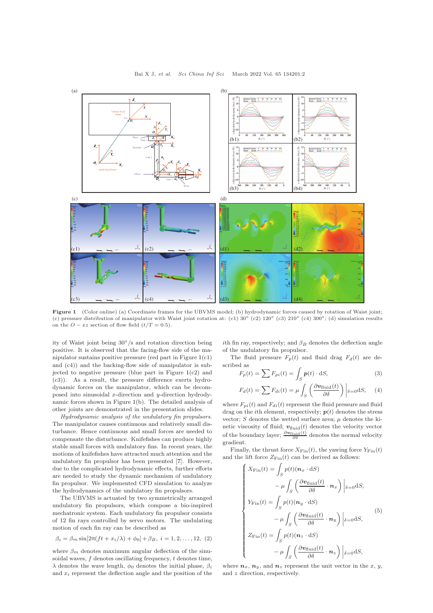## Bai X J, et al. Sci China Inf Sci March 2022 Vol. 65 134201:2

<span id="page-1-0"></span>

Figure 1 (Color online) (a) Coordinate frames for the UBVMS model; (b) hydrodynamic forces caused by rotation of Waist joint; (c) pressure distribution of manipulator with Waist joint rotation at: (c1)  $30^{\circ}$  (c2)  $120^{\circ}$  (c3)  $210^{\circ}$  (c4)  $300^{\circ}$ ; (d) simulation results on the  $Q - xz$  section of flow field  $(t/T = 0.5)$ .

ity of Waist joint being 30◦/s and rotation direction being positive. It is observed that the facing-flow side of the manipulator sustains positive pressure (red part in Figure [1\(](#page-1-0)c1) and (c4)) and the backing-flow side of manipulator is subjected to negative pressure (blue part in Figure  $1(c2)$  $1(c2)$ ) and (c3)). As a result, the pressure difference exerts hydrodynamic forces on the manipulator, which can be decomposed into sinusoidal x-direction and y-direction hydrodynamic forces shown in Figure [1\(](#page-1-0)b). The detailed analysis of other joints are demonstrated in the presentation slides.

Hydrodynamic analysis of the undulatory fin propulsors. The manipulator causes continuous and relatively small disturbance. Hence continuous and small forces are needed to compensate the disturbance. Knifefishes can produce highly stable small forces with undulatory fins. In recent years, the motions of knifefishes have attracted much attention and the undulatory fin propulsor has been presented [\[7\]](#page-2-7). However, due to the complicated hydrodynamic effects, further efforts are needed to study the dynamic mechanism of undulatory fin propulsor. We implemented CFD simulation to analyze the hydrodynamics of the undulatory fin propulsors.

The UBVMS is actuated by two symmetrically arranged undulatory fin propulsors, which compose a bio-inspired mechatronic system. Each undulatory fin propulsor consists of 12 fin rays controlled by servo motors. The undulating motion of each fin ray can be described as

$$
\beta_i = \beta_m \sin[2\pi (ft + x_i/\lambda) + \phi_0] + \beta_B, \ i = 1, 2, \dots, 12, (2)
$$

where  $\beta_m$  denotes maximum angular deflection of the sinusoidal waves,  $f$  denotes oscillating frequency,  $t$  denotes time, λ denotes the wave length,  $φ_0$  denotes the initial phase,  $β_i$ and  $x_i$  represent the deflection angle and the position of the ith fin ray, respectively; and  $\beta_B$  denotes the deflection angle of the undulatory fin propulsor.

The fluid pressure  $F_p(t)$  and fluid drag  $F_d(t)$  are described as

$$
F_p(t) = \sum F_{pi}(t) = \int_S p(t) \cdot dS,
$$
\n(3)

$$
F_d(t) = \sum F_{di}(t) = \mu \int_S \left( \frac{\partial v_{\text{fluid}}(t)}{\partial \delta} \right) \bigg|_{\delta = 0} \text{d}S, \quad (4)
$$

where  $F_{ni}(t)$  and  $F_{di}(t)$  represent the fluid pressure and fluid drag on the *i*th element, respectively;  $p(t)$  denotes the stress vector;  $S$  denotes the wetted surface area;  $\mu$  denotes the kinetic viscosity of fluid;  $v_{\text{fluid}}(t)$  denotes the velocity vector of the boundary layer;  $\frac{\partial v_{\text{fluid}}(t)}{\partial \delta}$  denotes the normal velocity gradient.

Finally, the thrust force  $X_{\text{Fin}}(t)$ , the yawing force  $Y_{\text{Fin}}(t)$ and the lift force  $Z_{\text{Fin}}(t)$  can be derived as follows:

$$
\begin{cases}\nX_{\text{Fin}}(t) = \int_S p(t)(\boldsymbol{n}_x \cdot dS) \\
-\mu \int_S \left(\frac{\partial \boldsymbol{v}_{\text{fluid}}(t)}{\partial \delta} \cdot \boldsymbol{n}_x\right) \Big|_{\delta=0} dS, \\
Y_{\text{Fin}}(t) = \int_S p(t)(\boldsymbol{n}_y \cdot dS) \\
-\mu \int_S \left(\frac{\partial \boldsymbol{v}_{\text{fluid}}(t)}{\partial \delta} \cdot \boldsymbol{n}_y\right) \Big|_{\delta=0} dS, \\
Z_{\text{Fin}}(t) = \int_S p(t)(\boldsymbol{n}_z \cdot dS) \\
-\mu \int_S \left(\frac{\partial \boldsymbol{v}_{\text{fluid}}(t)}{\partial \delta} \cdot \boldsymbol{n}_z\right) \Big|_{\delta=0} dS,\n\end{cases}
$$
\n(5)

where  $n_x$ ,  $n_y$ , and  $n_z$  represent the unit vector in the x, y, and z direction, respectively.